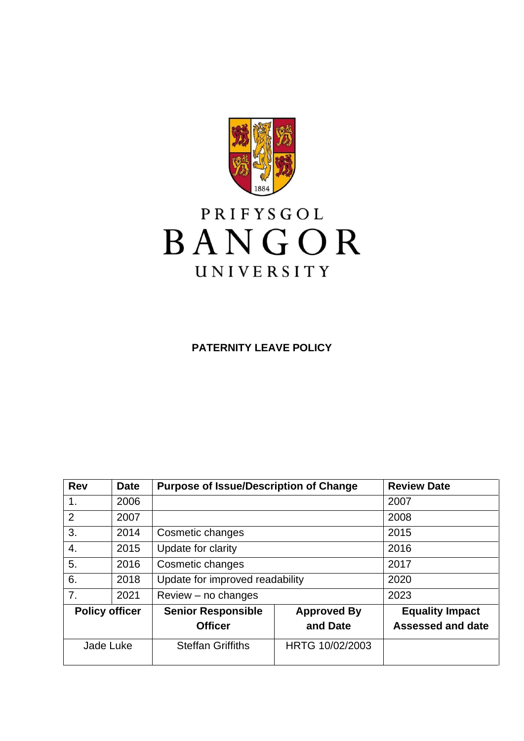

# PRIFYSGOL BANGOR UNIVERSITY

**PATERNITY LEAVE POLICY**

| <b>Rev</b>            | <b>Date</b> | <b>Purpose of Issue/Description of Change</b> |                    | <b>Review Date</b>       |
|-----------------------|-------------|-----------------------------------------------|--------------------|--------------------------|
| 1.                    | 2006        |                                               |                    | 2007                     |
| 2                     | 2007        |                                               |                    | 2008                     |
| 3.                    | 2014        | Cosmetic changes                              |                    | 2015                     |
| 4.                    | 2015        | Update for clarity                            |                    | 2016                     |
| 5.                    | 2016        | Cosmetic changes                              |                    | 2017                     |
| 6.                    | 2018        | Update for improved readability               |                    | 2020                     |
| 7.                    | 2021        | $Review - no changes$                         |                    | 2023                     |
| <b>Policy officer</b> |             | <b>Senior Responsible</b>                     | <b>Approved By</b> | <b>Equality Impact</b>   |
|                       |             | <b>Officer</b>                                | and Date           | <b>Assessed and date</b> |
| Jade Luke             |             | <b>Steffan Griffiths</b>                      | HRTG 10/02/2003    |                          |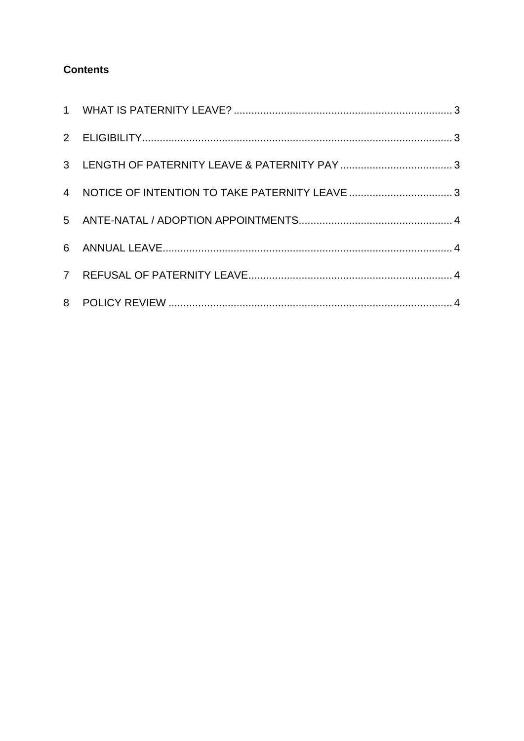## **Contents**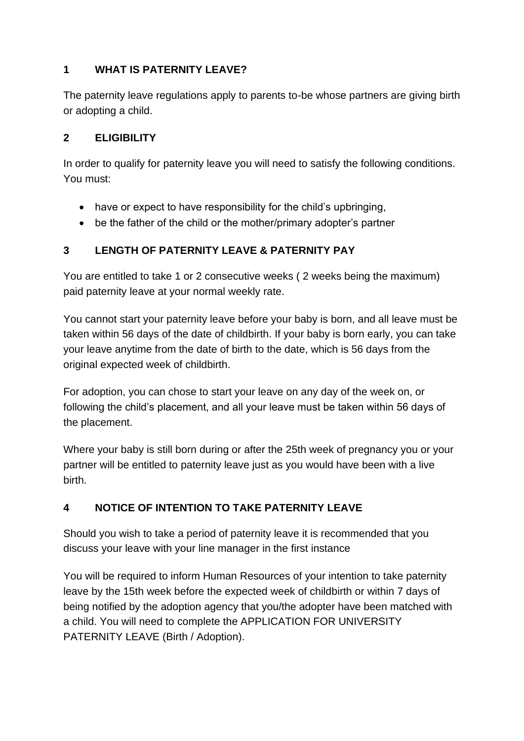#### <span id="page-2-0"></span>**1 WHAT IS PATERNITY LEAVE?**

The paternity leave regulations apply to parents to-be whose partners are giving birth or adopting a child.

#### <span id="page-2-1"></span>**2 ELIGIBILITY**

In order to qualify for paternity leave you will need to satisfy the following conditions. You must:

- have or expect to have responsibility for the child's upbringing,
- be the father of the child or the mother/primary adopter's partner

#### <span id="page-2-2"></span>**3 LENGTH OF PATERNITY LEAVE & PATERNITY PAY**

You are entitled to take 1 or 2 consecutive weeks ( 2 weeks being the maximum) paid paternity leave at your normal weekly rate.

You cannot start your paternity leave before your baby is born, and all leave must be taken within 56 days of the date of childbirth. If your baby is born early, you can take your leave anytime from the date of birth to the date, which is 56 days from the original expected week of childbirth.

For adoption, you can chose to start your leave on any day of the week on, or following the child's placement, and all your leave must be taken within 56 days of the placement.

Where your baby is still born during or after the 25th week of pregnancy you or your partner will be entitled to paternity leave just as you would have been with a live birth.

## <span id="page-2-3"></span>**4 NOTICE OF INTENTION TO TAKE PATERNITY LEAVE**

Should you wish to take a period of paternity leave it is recommended that you discuss your leave with your line manager in the first instance

You will be required to inform Human Resources of your intention to take paternity leave by the 15th week before the expected week of childbirth or within 7 days of being notified by the adoption agency that you/the adopter have been matched with a child. You will need to complete the APPLICATION FOR UNIVERSITY PATERNITY LEAVE (Birth / Adoption).